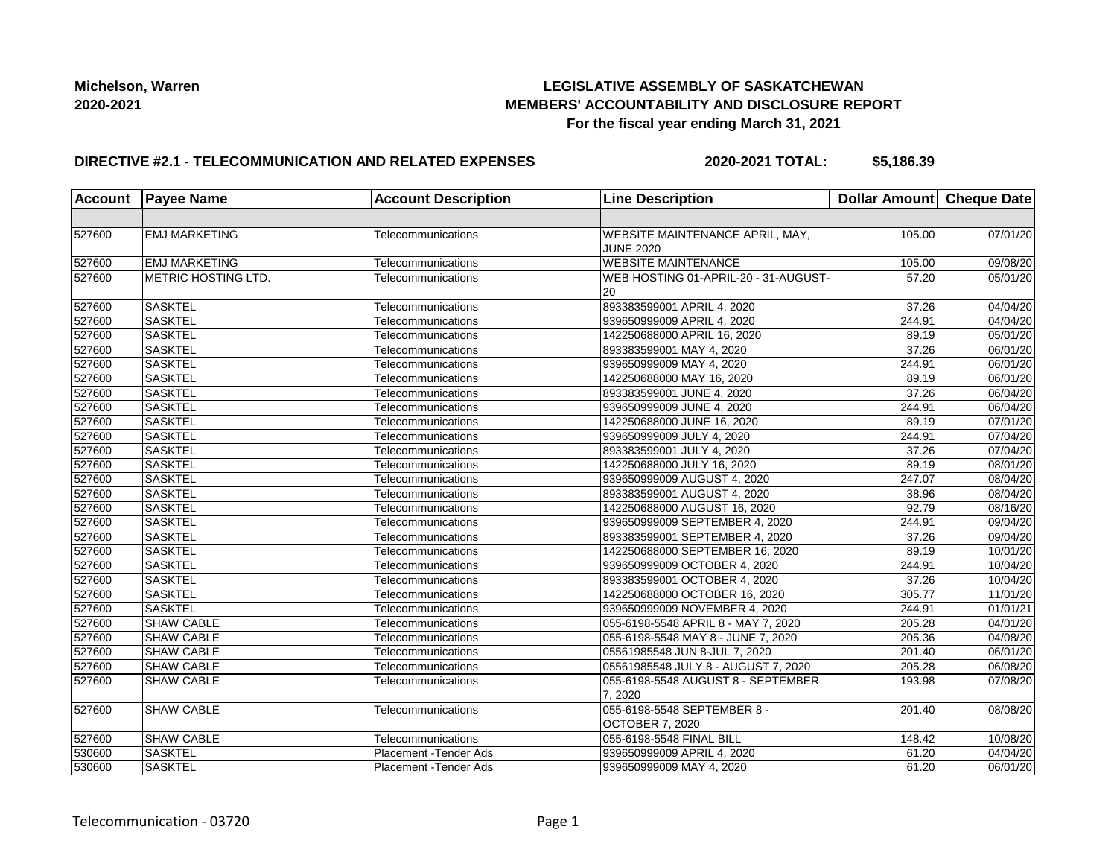# **LEGISLATIVE ASSEMBLY OF SASKATCHEWAN MEMBERS' ACCOUNTABILITY AND DISCLOSURE REPORT For the fiscal year ending March 31, 2021**

#### **DIRECTIVE #2.1 - TELECOMMUNICATION AND RELATED EXPENSES**

**2020-2021 TOTAL: \$5,186.39**

| <b>Account</b> | <b>Payee Name</b>    | <b>Account Description</b>    | <b>Line Description</b>                               | Dollar Amount Cheque Date |                       |
|----------------|----------------------|-------------------------------|-------------------------------------------------------|---------------------------|-----------------------|
|                |                      |                               |                                                       |                           |                       |
| 527600         | <b>EMJ MARKETING</b> | Telecommunications            | WEBSITE MAINTENANCE APRIL, MAY,<br><b>JUNE 2020</b>   | 105.00                    | 07/01/20              |
| 527600         | <b>EMJ MARKETING</b> | Telecommunications            | <b>WEBSITE MAINTENANCE</b>                            | 105.00                    | 09/08/20              |
| 527600         | METRIC HOSTING LTD.  | Telecommunications            | WEB HOSTING 01-APRIL-20 - 31-AUGUST-<br>20            | 57.20                     | 05/01/20              |
| 527600         | <b>SASKTEL</b>       | Telecommunications            | 893383599001 APRIL 4, 2020                            | 37.26                     | 04/04/20              |
| 527600         | <b>SASKTEL</b>       | Telecommunications            | 939650999009 APRIL 4, 2020                            | 244.91                    | 04/04/20              |
| 527600         | SASKTEL              | Telecommunications            | 142250688000 APRIL 16, 2020                           | 89.19                     | 05/01/20              |
| 527600         | SASKTEL              | Telecommunications            | 893383599001 MAY 4, 2020                              | 37.26                     | 06/01/20              |
| 527600         | <b>SASKTEL</b>       | Telecommunications            | 939650999009 MAY 4, 2020                              | 244.91                    | $\overline{06/0}1/20$ |
| 527600         | <b>SASKTEL</b>       | Telecommunications            | 142250688000 MAY 16, 2020                             | 89.19                     | $\overline{06}/01/20$ |
| 527600         | <b>SASKTEL</b>       | Telecommunications            | 893383599001 JUNE 4, 2020                             | 37.26                     | 06/04/20              |
| 527600         | SASKTEL              | Telecommunications            | 939650999009 JUNE 4, 2020                             | 244.91                    | 06/04/20              |
| 527600         | <b>SASKTEL</b>       | Telecommunications            | 142250688000 JUNE 16, 2020                            | 89.19                     | 07/01/20              |
| 527600         | SASKTEL              | Telecommunications            | 939650999009 JULY 4, 2020                             | 244.91                    | 07/04/20              |
| 527600         | <b>SASKTEL</b>       | Telecommunications            | 893383599001 JULY 4, 2020                             | 37.26                     | 07/04/20              |
| 527600         | <b>SASKTEL</b>       | Telecommunications            | 142250688000 JULY 16, 2020                            | 89.19                     | 08/01/20              |
| 527600         | <b>SASKTEL</b>       | Telecommunications            | 939650999009 AUGUST 4, 2020                           | 247.07                    | 08/04/20              |
| 527600         | SASKTEL              | Telecommunications            | 893383599001 AUGUST 4, 2020                           | 38.96                     | 08/04/20              |
| 527600         | <b>SASKTEL</b>       | Telecommunications            | 142250688000 AUGUST 16, 2020                          | 92.79                     | 08/16/20              |
| 527600         | SASKTEL              | Telecommunications            | 939650999009 SEPTEMBER 4, 2020                        | 244.91                    | 09/04/20              |
| 527600         | SASKTEL              | Telecommunications            | 893383599001 SEPTEMBER 4, 2020                        | 37.26                     | 09/04/20              |
| 527600         | <b>SASKTEL</b>       | Telecommunications            | 142250688000 SEPTEMBER 16, 2020                       | 89.19                     | 10/01/20              |
| 527600         | SASKTEL              | Telecommunications            | 939650999009 OCTOBER 4, 2020                          | 244.91                    | 10/04/20              |
| 527600         | <b>SASKTEL</b>       | Telecommunications            | 893383599001 OCTOBER 4, 2020                          | 37.26                     | 10/04/20              |
| 527600         | <b>SASKTEL</b>       | Telecommunications            | 142250688000 OCTOBER 16, 2020                         | 305.77                    | 11/01/20              |
| 527600         | <b>SASKTEL</b>       | Telecommunications            | 939650999009 NOVEMBER 4, 2020                         | 244.91                    | 01/01/21              |
| 527600         | <b>SHAW CABLE</b>    | Telecommunications            | 055-6198-5548 APRIL 8 - MAY 7, 2020                   | 205.28                    | 04/01/20              |
| 527600         | <b>SHAW CABLE</b>    | Telecommunications            | 055-6198-5548 MAY 8 - JUNE 7, 2020                    | 205.36                    | 04/08/20              |
| 527600         | <b>SHAW CABLE</b>    | Telecommunications            | 05561985548 JUN 8-JUL 7, 2020                         | 201.40                    | 06/01/20              |
| 527600         | <b>SHAW CABLE</b>    | Telecommunications            | 05561985548 JULY 8 - AUGUST 7, 2020                   | 205.28                    | 06/08/20              |
| 527600         | <b>SHAW CABLE</b>    | Telecommunications            | 055-6198-5548 AUGUST 8 - SEPTEMBER<br>7.2020          | 193.98                    | 07/08/20              |
| 527600         | <b>SHAW CABLE</b>    | Telecommunications            | 055-6198-5548 SEPTEMBER 8 -<br><b>OCTOBER 7, 2020</b> | 201.40                    | 08/08/20              |
| 527600         | <b>SHAW CABLE</b>    | Telecommunications            | 055-6198-5548 FINAL BILL                              | 148.42                    | 10/08/20              |
| 530600         | <b>SASKTEL</b>       | <b>Placement - Tender Ads</b> | 939650999009 APRIL 4, 2020                            | 61.20                     | 04/04/20              |
| 530600         | <b>SASKTEL</b>       | <b>Placement - Tender Ads</b> | 939650999009 MAY 4, 2020                              | 61.20                     | 06/01/20              |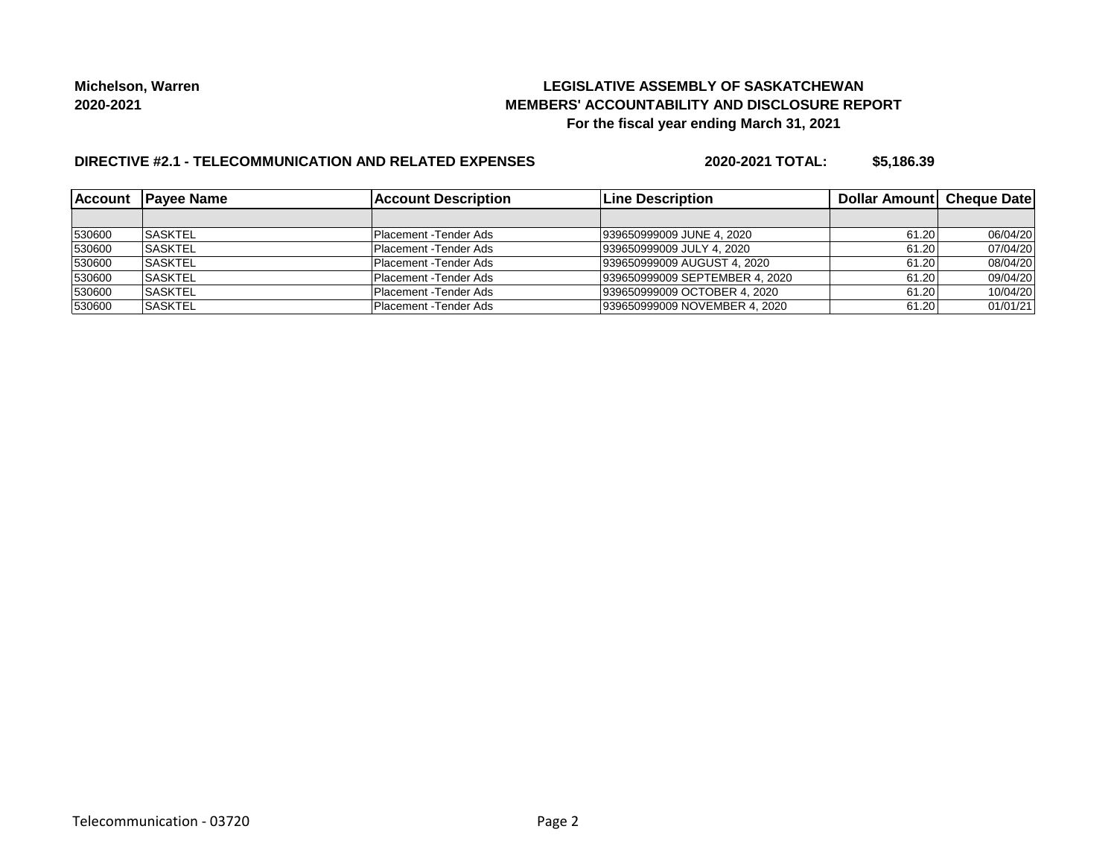# **LEGISLATIVE ASSEMBLY OF SASKATCHEWAN MEMBERS' ACCOUNTABILITY AND DISCLOSURE REPORT For the fiscal year ending March 31, 2021**

# **DIRECTIVE #2.1 - TELECOMMUNICATION AND RELATED EXPENSES**

**2020-2021 TOTAL: \$5,186.39**

|        | Account Payee Name | <b>Account Description</b> | <b>Line Description</b>        | Dollar Amount   Cheque Date |          |
|--------|--------------------|----------------------------|--------------------------------|-----------------------------|----------|
|        |                    |                            |                                |                             |          |
| 530600 | <b>ISASKTEL</b>    | Placement -Tender Ads      | 939650999009 JUNE 4, 2020      | 61.20                       | 06/04/20 |
| 530600 | <b>SASKTEL</b>     | Placement - Tender Ads     | 939650999009 JULY 4, 2020      | 61.20                       | 07/04/20 |
| 530600 | <b>SASKTEL</b>     | Placement -Tender Ads      | 939650999009 AUGUST 4, 2020    | 61.20                       | 08/04/20 |
| 530600 | <b>ISASKTEL</b>    | Placement - Tender Ads     | 939650999009 SEPTEMBER 4, 2020 | 61.20                       | 09/04/20 |
| 530600 | <b>SASKTEL</b>     | Placement - Tender Ads     | 939650999009 OCTOBER 4, 2020   | 61.20                       | 10/04/20 |
| 530600 | <b>SASKTEL</b>     | Placement - Tender Ads     | 939650999009 NOVEMBER 4, 2020  | 61.20                       | 01/01/21 |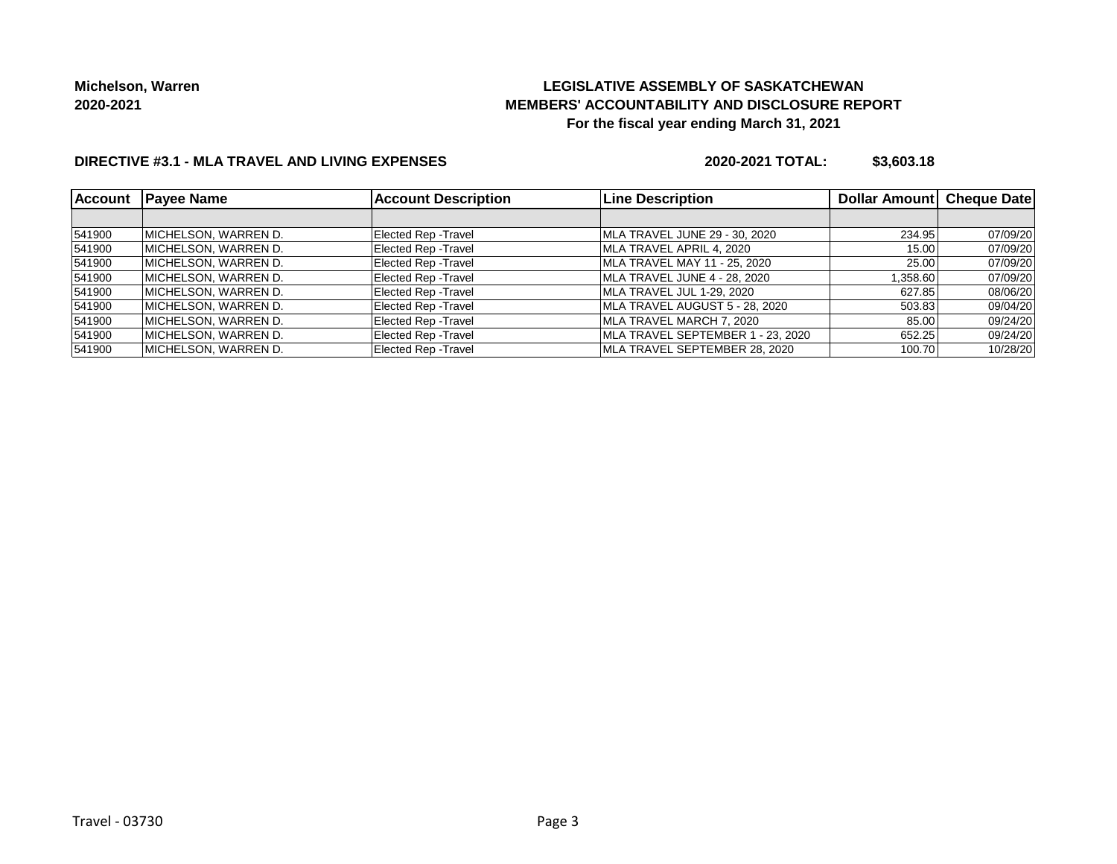# **LEGISLATIVE ASSEMBLY OF SASKATCHEWAN MEMBERS' ACCOUNTABILITY AND DISCLOSURE REPORT For the fiscal year ending March 31, 2021**

# **DIRECTIVE #3.1 - MLA TRAVEL AND LIVING EXPENSES**

**2020-2021 TOTAL: \$3,603.18**

| <b>Account</b> | <b>Payee Name</b>     | <b>Account Description</b>  | <b>Line Description</b>           | Dollar Amount Cheque Date |          |
|----------------|-----------------------|-----------------------------|-----------------------------------|---------------------------|----------|
|                |                       |                             |                                   |                           |          |
| 541900         | IMICHELSON. WARREN D. | <b>Elected Rep - Travel</b> | MLA TRAVEL JUNE 29 - 30, 2020     | 234.95                    | 07/09/20 |
| 541900         | MICHELSON, WARREN D.  | <b>Elected Rep - Travel</b> | MLA TRAVEL APRIL 4, 2020          | 15.00                     | 07/09/20 |
| 541900         | MICHELSON, WARREN D.  | <b>Elected Rep - Travel</b> | MLA TRAVEL MAY 11 - 25, 2020      | 25.00                     | 07/09/20 |
| 541900         | IMICHELSON. WARREN D. | <b>Elected Rep - Travel</b> | MLA TRAVEL JUNE 4 - 28, 2020      | 1,358.60                  | 07/09/20 |
| 541900         | MICHELSON, WARREN D.  | <b>Elected Rep - Travel</b> | MLA TRAVEL JUL 1-29, 2020         | 627.85                    | 08/06/20 |
| 541900         | IMICHELSON. WARREN D. | <b>Elected Rep - Travel</b> | MLA TRAVEL AUGUST 5 - 28, 2020    | 503.83                    | 09/04/20 |
| 541900         | IMICHELSON. WARREN D. | <b>Elected Rep - Travel</b> | MLA TRAVEL MARCH 7. 2020          | 85.00                     | 09/24/20 |
| 541900         | IMICHELSON. WARREN D. | Elected Rep - Travel        | MLA TRAVEL SEPTEMBER 1 - 23. 2020 | 652.25                    | 09/24/20 |
| 541900         | MICHELSON, WARREN D.  | <b>Elected Rep - Travel</b> | MLA TRAVEL SEPTEMBER 28, 2020     | 100.70                    | 10/28/20 |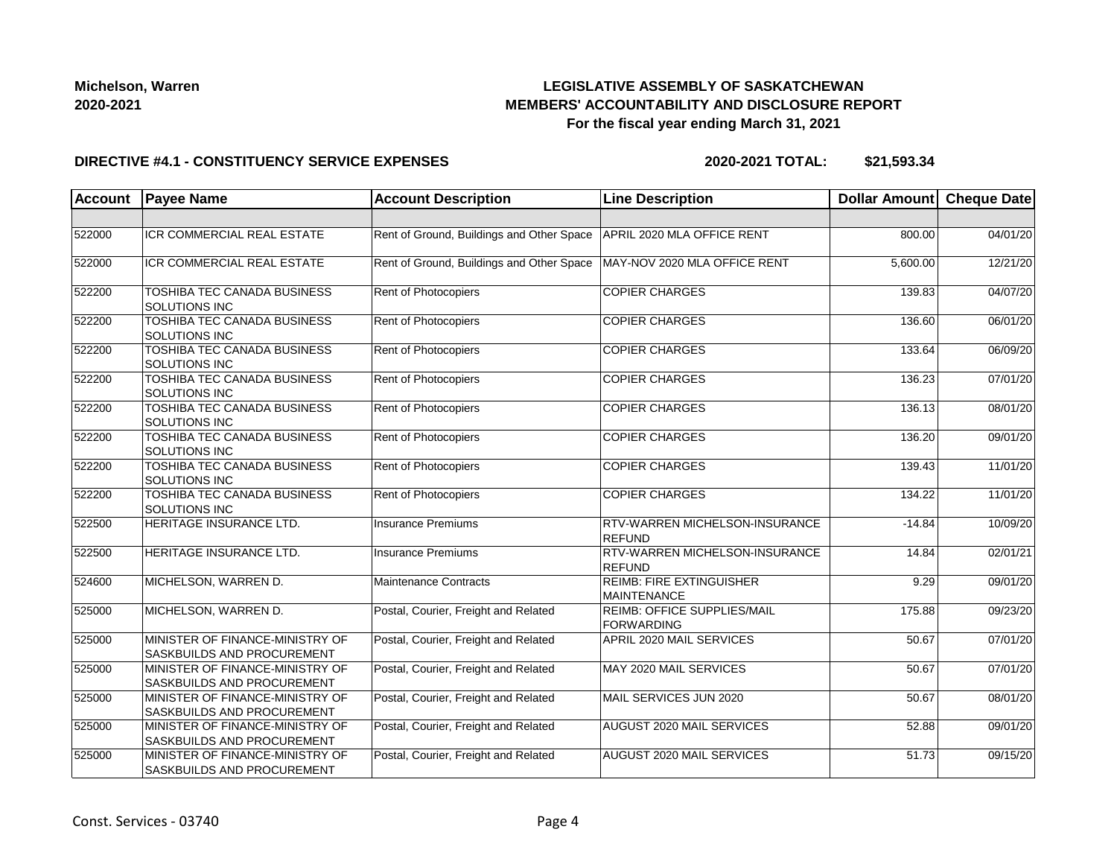# **LEGISLATIVE ASSEMBLY OF SASKATCHEWAN MEMBERS' ACCOUNTABILITY AND DISCLOSURE REPORT For the fiscal year ending March 31, 2021**

#### **DIRECTIVE #4.1 - CONSTITUENCY SERVICE EXPENSES**

**2020-2021 TOTAL: \$21,593.34**

| <b>Account</b> | <b>Payee Name</b>                                                    | <b>Account Description</b>                | <b>Line Description</b>                                | <b>Dollar Amount</b> | <b>Cheque Date</b> |
|----------------|----------------------------------------------------------------------|-------------------------------------------|--------------------------------------------------------|----------------------|--------------------|
|                |                                                                      |                                           |                                                        |                      |                    |
| 522000         | ICR COMMERCIAL REAL ESTATE                                           | Rent of Ground, Buildings and Other Space | APRIL 2020 MLA OFFICE RENT                             | 800.00               | 04/01/20           |
| 522000         | ICR COMMERCIAL REAL ESTATE                                           | Rent of Ground, Buildings and Other Space | MAY-NOV 2020 MLA OFFICE RENT                           | 5,600.00             | 12/21/20           |
| 522200         | TOSHIBA TEC CANADA BUSINESS<br><b>SOLUTIONS INC</b>                  | <b>Rent of Photocopiers</b>               | <b>COPIER CHARGES</b>                                  | 139.83               | 04/07/20           |
| 522200         | TOSHIBA TEC CANADA BUSINESS<br><b>SOLUTIONS INC</b>                  | Rent of Photocopiers                      | <b>COPIER CHARGES</b>                                  | 136.60               | 06/01/20           |
| 522200         | TOSHIBA TEC CANADA BUSINESS<br><b>SOLUTIONS INC</b>                  | Rent of Photocopiers                      | <b>COPIER CHARGES</b>                                  | 133.64               | 06/09/20           |
| 522200         | TOSHIBA TEC CANADA BUSINESS<br><b>SOLUTIONS INC</b>                  | <b>Rent of Photocopiers</b>               | <b>COPIER CHARGES</b>                                  | 136.23               | 07/01/20           |
| 522200         | TOSHIBA TEC CANADA BUSINESS<br><b>SOLUTIONS INC</b>                  | Rent of Photocopiers                      | <b>COPIER CHARGES</b>                                  | 136.13               | 08/01/20           |
| 522200         | TOSHIBA TEC CANADA BUSINESS<br>SOLUTIONS INC                         | Rent of Photocopiers                      | <b>COPIER CHARGES</b>                                  | 136.20               | 09/01/20           |
| 522200         | TOSHIBA TEC CANADA BUSINESS<br><b>SOLUTIONS INC</b>                  | Rent of Photocopiers                      | <b>COPIER CHARGES</b>                                  | 139.43               | 11/01/20           |
| 522200         | <b>TOSHIBA TEC CANADA BUSINESS</b><br>SOLUTIONS INC                  | Rent of Photocopiers                      | <b>COPIER CHARGES</b>                                  | 134.22               | 11/01/20           |
| 522500         | HERITAGE INSURANCE LTD.                                              | Insurance Premiums                        | <b>RTV-WARREN MICHELSON-INSURANCE</b><br>REFUND        | $-14.84$             | 10/09/20           |
| 522500         | HERITAGE INSURANCE LTD.                                              | <b>Insurance Premiums</b>                 | <b>RTV-WARREN MICHELSON-INSURANCE</b><br><b>REFUND</b> | 14.84                | 02/01/21           |
| 524600         | MICHELSON, WARREN D.                                                 | Maintenance Contracts                     | <b>REIMB: FIRE EXTINGUISHER</b><br><b>MAINTENANCE</b>  | 9.29                 | 09/01/20           |
| 525000         | MICHELSON, WARREN D.                                                 | Postal, Courier, Freight and Related      | <b>REIMB: OFFICE SUPPLIES/MAIL</b><br>FORWARDING       | 175.88               | 09/23/20           |
| 525000         | MINISTER OF FINANCE-MINISTRY OF<br><b>SASKBUILDS AND PROCUREMENT</b> | Postal, Courier, Freight and Related      | APRIL 2020 MAIL SERVICES                               | 50.67                | 07/01/20           |
| 525000         | MINISTER OF FINANCE-MINISTRY OF<br><b>SASKBUILDS AND PROCUREMENT</b> | Postal, Courier, Freight and Related      | MAY 2020 MAIL SERVICES                                 | 50.67                | 07/01/20           |
| 525000         | MINISTER OF FINANCE-MINISTRY OF<br><b>SASKBUILDS AND PROCUREMENT</b> | Postal, Courier, Freight and Related      | MAIL SERVICES JUN 2020                                 | 50.67                | 08/01/20           |
| 525000         | MINISTER OF FINANCE-MINISTRY OF<br>SASKBUILDS AND PROCUREMENT        | Postal, Courier, Freight and Related      | <b>AUGUST 2020 MAIL SERVICES</b>                       | 52.88                | 09/01/20           |
| 525000         | MINISTER OF FINANCE-MINISTRY OF<br>SASKBUILDS AND PROCUREMENT        | Postal, Courier, Freight and Related      | AUGUST 2020 MAIL SERVICES                              | 51.73                | 09/15/20           |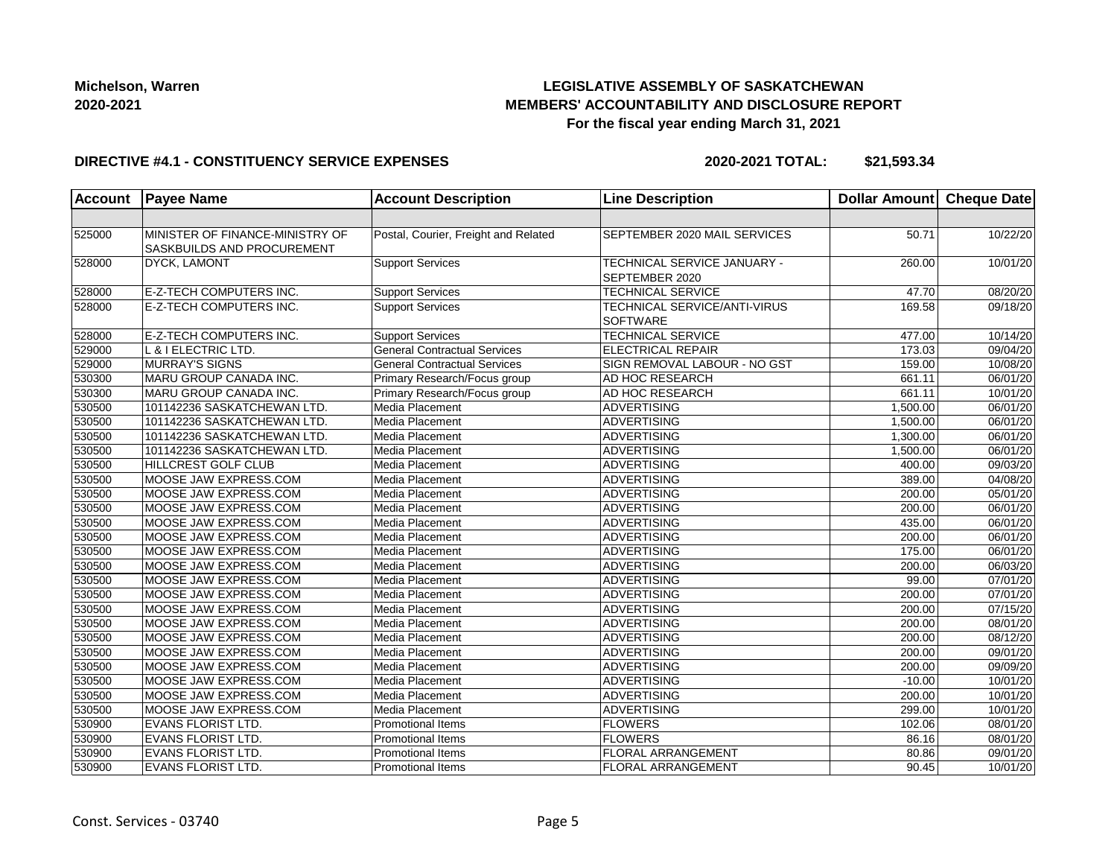# **LEGISLATIVE ASSEMBLY OF SASKATCHEWAN MEMBERS' ACCOUNTABILITY AND DISCLOSURE REPORT For the fiscal year ending March 31, 2021**

#### **DIRECTIVE #4.1 - CONSTITUENCY SERVICE EXPENSES**

**2020-2021 TOTAL: \$21,593.34**

| <b>Account</b> | <b>Payee Name</b>                                             | <b>Account Description</b>           | <b>Line Description</b>                         | <b>Dollar Amount</b> | <b>Cheque Date</b>    |
|----------------|---------------------------------------------------------------|--------------------------------------|-------------------------------------------------|----------------------|-----------------------|
|                |                                                               |                                      |                                                 |                      |                       |
| 525000         | MINISTER OF FINANCE-MINISTRY OF<br>SASKBUILDS AND PROCUREMENT | Postal, Courier, Freight and Related | SEPTEMBER 2020 MAIL SERVICES                    | 50.71                | 10/22/20              |
| 528000         | <b>DYCK, LAMONT</b>                                           | <b>Support Services</b>              | TECHNICAL SERVICE JANUARY -<br>SEPTEMBER 2020   | 260.00               | 10/01/20              |
| 528000         | E-Z-TECH COMPUTERS INC.                                       | <b>Support Services</b>              | <b>TECHNICAL SERVICE</b>                        | 47.70                | 08/20/20              |
| 528000         | E-Z-TECH COMPUTERS INC.                                       | <b>Support Services</b>              | TECHNICAL SERVICE/ANTI-VIRUS<br><b>SOFTWARE</b> | 169.58               | 09/18/20              |
| 528000         | E-Z-TECH COMPUTERS INC.                                       | <b>Support Services</b>              | <b>TECHNICAL SERVICE</b>                        | 477.00               | 10/14/20              |
| 529000         | L & I ELECTRIC LTD.                                           | <b>General Contractual Services</b>  | <b>ELECTRICAL REPAIR</b>                        | 173.03               | 09/04/20              |
| 529000         | <b>MURRAY'S SIGNS</b>                                         | <b>General Contractual Services</b>  | SIGN REMOVAL LABOUR - NO GST                    | 159.00               | 10/08/20              |
| 530300         | MARU GROUP CANADA INC.                                        | Primary Research/Focus group         | AD HOC RESEARCH                                 | 661.11               | 06/01/20              |
| 530300         | MARU GROUP CANADA INC.                                        | Primary Research/Focus group         | AD HOC RESEARCH                                 | 661.11               | 10/01/20              |
| 530500         | 101142236 SASKATCHEWAN LTD.                                   | Media Placement                      | <b>ADVERTISING</b>                              | 1,500.00             | $\overline{06/0}1/20$ |
| 530500         | 101142236 SASKATCHEWAN LTD.                                   | Media Placement                      | <b>ADVERTISING</b>                              | 1,500.00             | 06/01/20              |
| 530500         | 101142236 SASKATCHEWAN LTD.                                   | Media Placement                      | ADVERTISING                                     | 1,300.00             | 06/01/20              |
| 530500         | 101142236 SASKATCHEWAN LTD.                                   | Media Placement                      | <b>ADVERTISING</b>                              | 1,500.00             | 06/01/20              |
| 530500         | HILLCREST GOLF CLUB                                           | Media Placement                      | <b>ADVERTISING</b>                              | 400.00               | 09/03/20              |
| 530500         | MOOSE JAW EXPRESS.COM                                         | Media Placement                      | <b>ADVERTISING</b>                              | 389.00               | 04/08/20              |
| 530500         | MOOSE JAW EXPRESS.COM                                         | Media Placement                      | <b>ADVERTISING</b>                              | 200.00               | $\overline{05/0}1/20$ |
| 530500         | MOOSE JAW EXPRESS.COM                                         | Media Placement                      | ADVERTISING                                     | 200.00               | 06/01/20              |
| 530500         | MOOSE JAW EXPRESS.COM                                         | Media Placement                      | ADVERTISING                                     | 435.00               | 06/01/20              |
| 530500         | MOOSE JAW EXPRESS.COM                                         | Media Placement                      | <b>ADVERTISING</b>                              | 200.00               | 06/01/20              |
| 530500         | MOOSE JAW EXPRESS.COM                                         | Media Placement                      | <b>ADVERTISING</b>                              | 175.00               | 06/01/20              |
| 530500         | MOOSE JAW EXPRESS.COM                                         | Media Placement                      | <b>ADVERTISING</b>                              | 200.00               | 06/03/20              |
| 530500         | MOOSE JAW EXPRESS.COM                                         | Media Placement                      | <b>ADVERTISING</b>                              | 99.00                | 07/01/20              |
| 530500         | MOOSE JAW EXPRESS.COM                                         | Media Placement                      | ADVERTISING                                     | 200.00               | 07/01/20              |
| 530500         | MOOSE JAW EXPRESS.COM                                         | Media Placement                      | ADVERTISING                                     | 200.00               | 07/15/20              |
| 530500         | MOOSE JAW EXPRESS.COM                                         | Media Placement                      | <b>ADVERTISING</b>                              | 200.00               | 08/01/20              |
| 530500         | MOOSE JAW EXPRESS.COM                                         | Media Placement                      | <b>ADVERTISING</b>                              | 200.00               | 08/12/20              |
| 530500         | MOOSE JAW EXPRESS.COM                                         | Media Placement                      | <b>ADVERTISING</b>                              | 200.00               | 09/01/20              |
| 530500         | MOOSE JAW EXPRESS.COM                                         | Media Placement                      | <b>ADVERTISING</b>                              | 200.00               | 09/09/20              |
| 530500         | MOOSE JAW EXPRESS.COM                                         | Media Placement                      | ADVERTISING                                     | $-10.00$             | 10/01/20              |
| 530500         | MOOSE JAW EXPRESS.COM                                         | Media Placement                      | <b>ADVERTISING</b>                              | 200.00               | 10/01/20              |
| 530500         | MOOSE JAW EXPRESS.COM                                         | Media Placement                      | <b>ADVERTISING</b>                              | 299.00               | 10/01/20              |
| 530900         | <b>EVANS FLORIST LTD.</b>                                     | <b>Promotional Items</b>             | <b>FLOWERS</b>                                  | 102.06               | 08/01/20              |
| 530900         | <b>EVANS FLORIST LTD.</b>                                     | Promotional Items                    | <b>FLOWERS</b>                                  | 86.16                | 08/01/20              |
| 530900         | <b>EVANS FLORIST LTD.</b>                                     | <b>Promotional Items</b>             | <b>FLORAL ARRANGEMENT</b>                       | 80.86                | 09/01/20              |
| 530900         | <b>EVANS FLORIST LTD.</b>                                     | Promotional Items                    | <b>FLORAL ARRANGEMENT</b>                       | 90.45                | 10/01/20              |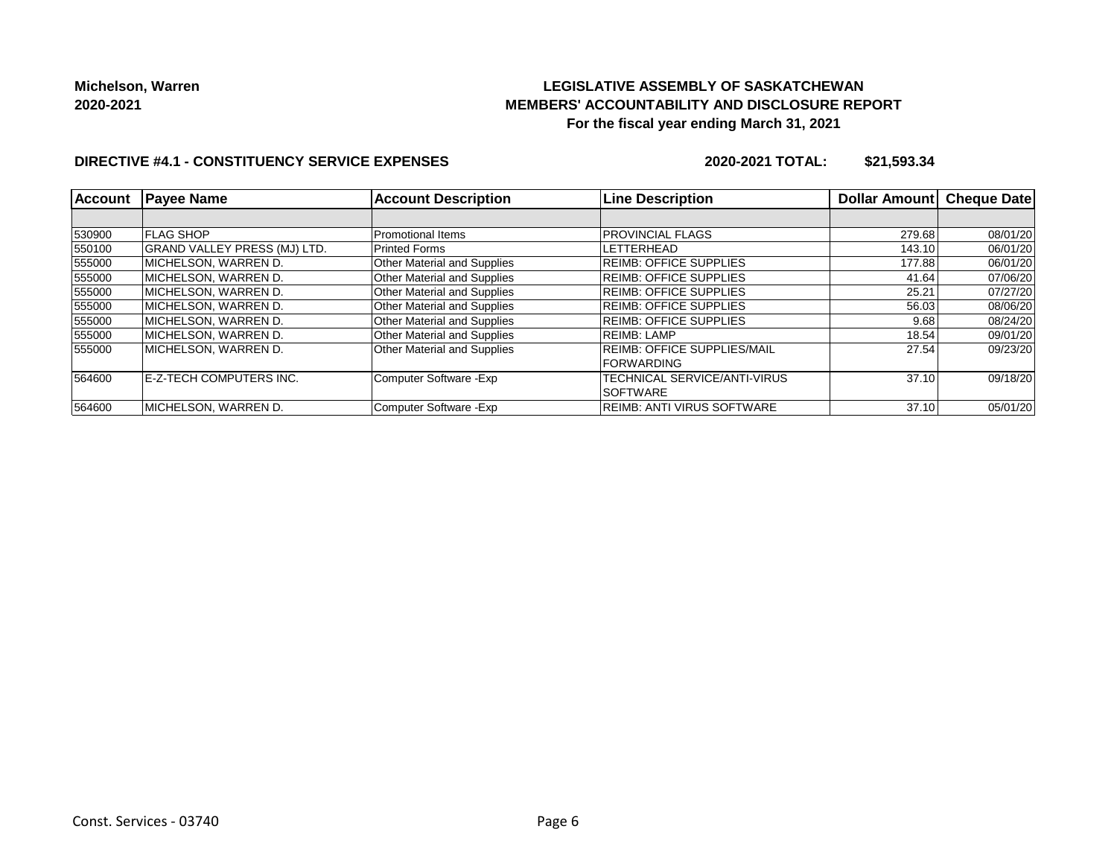# **LEGISLATIVE ASSEMBLY OF SASKATCHEWAN MEMBERS' ACCOUNTABILITY AND DISCLOSURE REPORT For the fiscal year ending March 31, 2021**

#### **DIRECTIVE #4.1 - CONSTITUENCY SERVICE EXPENSES**

**2020-2021 TOTAL: \$21,593.34**

| <b>Account</b> | <b>Payee Name</b>                   | <b>Account Description</b>         | <b>Line Description</b>            | Dollar Amount | <b>Cheque Date</b> |
|----------------|-------------------------------------|------------------------------------|------------------------------------|---------------|--------------------|
|                |                                     |                                    |                                    |               |                    |
| 530900         | <b>FLAG SHOP</b>                    | Promotional Items                  | <b>PROVINCIAL FLAGS</b>            | 279.68        | 08/01/20           |
| 550100         | <b>GRAND VALLEY PRESS (MJ) LTD.</b> | <b>Printed Forms</b>               | LETTERHEAD                         | 143.10        | 06/01/20           |
| 555000         | MICHELSON. WARREN D.                | <b>Other Material and Supplies</b> | <b>REIMB: OFFICE SUPPLIES</b>      | 177.88        | 06/01/20           |
| 555000         | MICHELSON, WARREN D.                | <b>Other Material and Supplies</b> | <b>REIMB: OFFICE SUPPLIES</b>      | 41.64         | 07/06/20           |
| 555000         | MICHELSON, WARREN D.                | <b>Other Material and Supplies</b> | <b>IREIMB: OFFICE SUPPLIES</b>     | 25.21         | 07/27/20           |
| 555000         | MICHELSON. WARREN D.                | <b>Other Material and Supplies</b> | <b>REIMB: OFFICE SUPPLIES</b>      | 56.03         | 08/06/20           |
| 555000         | MICHELSON. WARREN D.                | <b>Other Material and Supplies</b> | <b>REIMB: OFFICE SUPPLIES</b>      | 9.68          | 08/24/20           |
| 555000         | IMICHELSON. WARREN D.               | <b>Other Material and Supplies</b> | <b>REIMB: LAMP</b>                 | 18.54         | 09/01/20           |
| 555000         | MICHELSON. WARREN D.                | <b>Other Material and Supplies</b> | <b>REIMB: OFFICE SUPPLIES/MAIL</b> | 27.54         | 09/23/20           |
|                |                                     |                                    | <b>IFORWARDING</b>                 |               |                    |
| 564600         | E-Z-TECH COMPUTERS INC.             | Computer Software - Exp            | TECHNICAL SERVICE/ANTI-VIRUS       | 37.10         | 09/18/20           |
|                |                                     |                                    | ISOFTWARE                          |               |                    |
| 564600         | MICHELSON. WARREN D.                | Computer Software - Exp            | <b>IREIMB: ANTI VIRUS SOFTWARE</b> | 37.10         | 05/01/20           |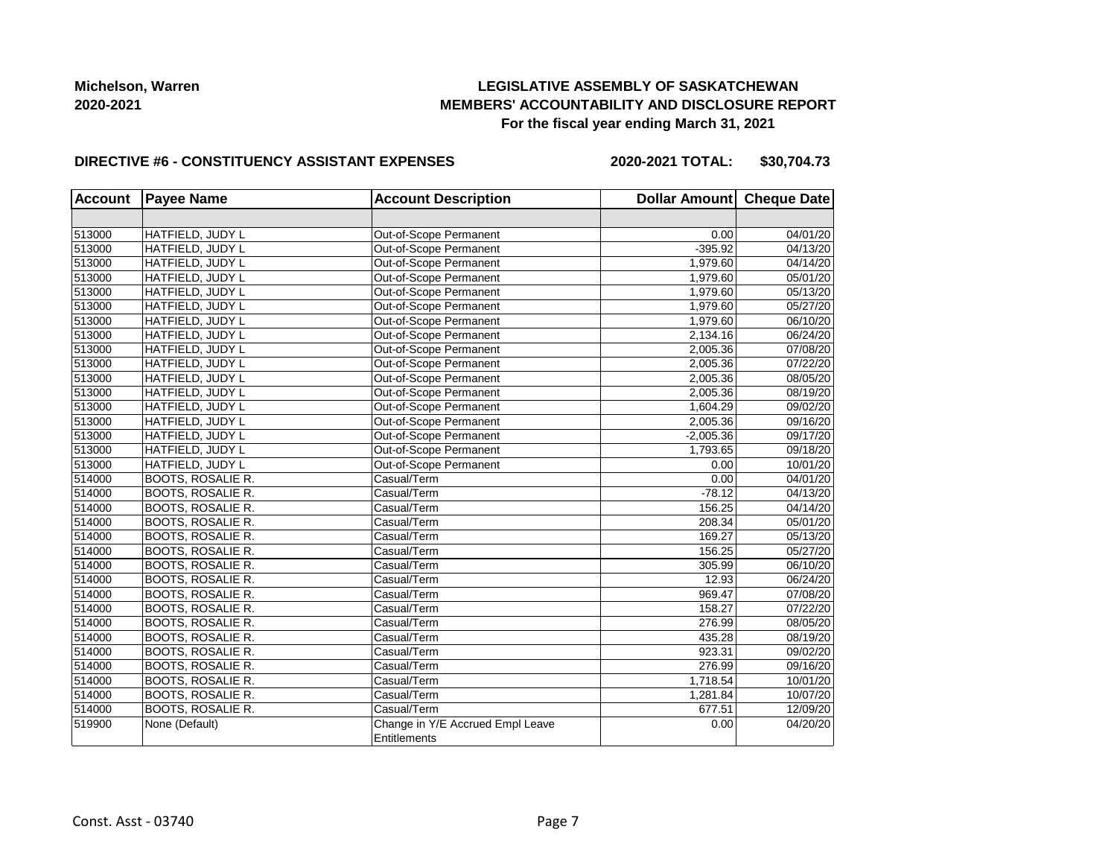# **LEGISLATIVE ASSEMBLY OF SASKATCHEWAN MEMBERS' ACCOUNTABILITY AND DISCLOSURE REPORT For the fiscal year ending March 31, 2021**

#### **DIRECTIVE #6 - CONSTITUENCY ASSISTANT EXPENSES**

**2020-2021 TOTAL: \$30,704.73**

| <b>Account</b> | <b>Payee Name</b>        | <b>Account Description</b>                       | Dollar Amount Cheque Date |          |
|----------------|--------------------------|--------------------------------------------------|---------------------------|----------|
|                |                          |                                                  |                           |          |
| 513000         | HATFIELD, JUDY L         | Out-of-Scope Permanent                           | 0.00                      | 04/01/20 |
| 513000         | HATFIELD, JUDY L         | Out-of-Scope Permanent                           | $-395.92$                 | 04/13/20 |
| 513000         | HATFIELD, JUDY L         | Out-of-Scope Permanent                           | 1,979.60                  | 04/14/20 |
| 513000         | HATFIELD, JUDY L         | Out-of-Scope Permanent                           | 1,979.60                  | 05/01/20 |
| 513000         | HATFIELD, JUDY L         | Out-of-Scope Permanent                           | 1,979.60                  | 05/13/20 |
| 513000         | HATFIELD, JUDY L         | Out-of-Scope Permanent                           | 1,979.60                  | 05/27/20 |
| 513000         | HATFIELD, JUDY L         | Out-of-Scope Permanent                           | 1,979.60                  | 06/10/20 |
| 513000         | HATFIELD, JUDY L         | Out-of-Scope Permanent                           | 2,134.16                  | 06/24/20 |
| 513000         | HATFIELD, JUDY L         | Out-of-Scope Permanent                           | 2,005.36                  | 07/08/20 |
| 513000         | HATFIELD, JUDY L         | Out-of-Scope Permanent                           | 2,005.36                  | 07/22/20 |
| 513000         | HATFIELD, JUDY L         | Out-of-Scope Permanent                           | 2,005.36                  | 08/05/20 |
| 513000         | HATFIELD, JUDY L         | Out-of-Scope Permanent                           | 2,005.36                  | 08/19/20 |
| 513000         | HATFIELD, JUDY L         | Out-of-Scope Permanent                           | 1,604.29                  | 09/02/20 |
| 513000         | HATFIELD, JUDY L         | Out-of-Scope Permanent                           | 2,005.36                  | 09/16/20 |
| 513000         | HATFIELD, JUDY L         | Out-of-Scope Permanent                           | $-2,005.36$               | 09/17/20 |
| 513000         | HATFIELD, JUDY L         | Out-of-Scope Permanent                           | 1,793.65                  | 09/18/20 |
| 513000         | HATFIELD, JUDY L         | Out-of-Scope Permanent                           | 0.00                      | 10/01/20 |
| 514000         | BOOTS, ROSALIE R.        | Casual/Term                                      | 0.00                      | 04/01/20 |
| 514000         | <b>BOOTS, ROSALIE R.</b> | Casual/Term                                      | $-78.12$                  | 04/13/20 |
| 514000         | <b>BOOTS, ROSALIE R.</b> | Casual/Term                                      | 156.25                    | 04/14/20 |
| 514000         | <b>BOOTS, ROSALIE R.</b> | Casual/Term                                      | 208.34                    | 05/01/20 |
| 514000         | <b>BOOTS, ROSALIE R.</b> | Casual/Term                                      | 169.27                    | 05/13/20 |
| 514000         | <b>BOOTS, ROSALIE R.</b> | Casual/Term                                      | 156.25                    | 05/27/20 |
| 514000         | <b>BOOTS, ROSALIE R.</b> | Casual/Term                                      | 305.99                    | 06/10/20 |
| 514000         | <b>BOOTS, ROSALIE R.</b> | Casual/Term                                      | 12.93                     | 06/24/20 |
| 514000         | <b>BOOTS, ROSALIE R.</b> | Casual/Term                                      | 969.47                    | 07/08/20 |
| 514000         | <b>BOOTS, ROSALIE R.</b> | Casual/Term                                      | 158.27                    | 07/22/20 |
| 514000         | BOOTS, ROSALIE R.        | Casual/Term                                      | 276.99                    | 08/05/20 |
| 514000         | BOOTS, ROSALIE R.        | Casual/Term                                      | 435.28                    | 08/19/20 |
| 514000         | <b>BOOTS, ROSALIE R.</b> | Casual/Term                                      | 923.31                    | 09/02/20 |
| 514000         | <b>BOOTS, ROSALIE R.</b> | Casual/Term                                      | 276.99                    | 09/16/20 |
| 514000         | <b>BOOTS, ROSALIE R.</b> | Casual/Term                                      | 1,718.54                  | 10/01/20 |
| 514000         | BOOTS, ROSALIE R.        | Casual/Term                                      | 1,281.84                  | 10/07/20 |
| 514000         | <b>BOOTS, ROSALIE R.</b> | Casual/Term                                      | 677.51                    | 12/09/20 |
| 519900         | None (Default)           | Change in Y/E Accrued Empl Leave<br>Entitlements | 0.00                      | 04/20/20 |